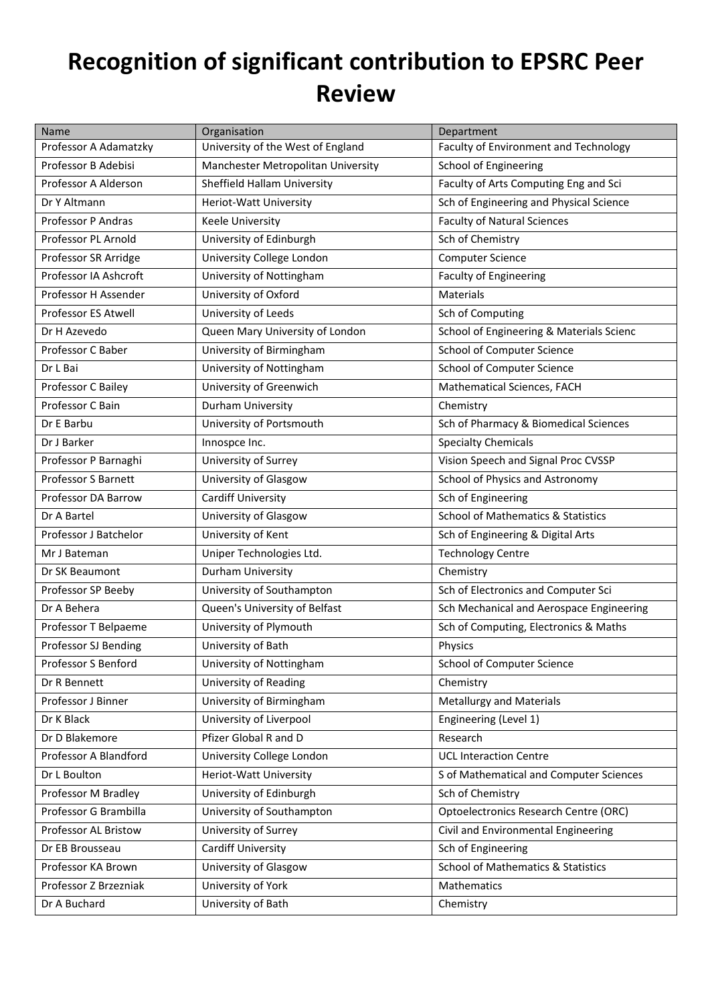## **Recognition of significant contribution to EPSRC Peer Review**

| Name                       | Organisation                       | Department                                    |
|----------------------------|------------------------------------|-----------------------------------------------|
| Professor A Adamatzky      | University of the West of England  | Faculty of Environment and Technology         |
| Professor B Adebisi        | Manchester Metropolitan University | School of Engineering                         |
| Professor A Alderson       | Sheffield Hallam University        | Faculty of Arts Computing Eng and Sci         |
| Dr Y Altmann               | Heriot-Watt University             | Sch of Engineering and Physical Science       |
| Professor P Andras         | Keele University                   | <b>Faculty of Natural Sciences</b>            |
| Professor PL Arnold        | University of Edinburgh            | Sch of Chemistry                              |
| Professor SR Arridge       | University College London          | <b>Computer Science</b>                       |
| Professor IA Ashcroft      | University of Nottingham           | <b>Faculty of Engineering</b>                 |
| Professor H Assender       | University of Oxford               | Materials                                     |
| Professor ES Atwell        | University of Leeds                | Sch of Computing                              |
| Dr H Azevedo               | Queen Mary University of London    | School of Engineering & Materials Scienc      |
| Professor C Baber          | University of Birmingham           | School of Computer Science                    |
| Dr L Bai                   | University of Nottingham           | School of Computer Science                    |
| Professor C Bailey         | University of Greenwich            | Mathematical Sciences, FACH                   |
| Professor C Bain           | Durham University                  | Chemistry                                     |
| Dr E Barbu                 | University of Portsmouth           | Sch of Pharmacy & Biomedical Sciences         |
| Dr J Barker                | Innospce Inc.                      | <b>Specialty Chemicals</b>                    |
| Professor P Barnaghi       | University of Surrey               | Vision Speech and Signal Proc CVSSP           |
| <b>Professor S Barnett</b> | University of Glasgow              | School of Physics and Astronomy               |
| Professor DA Barrow        | <b>Cardiff University</b>          | Sch of Engineering                            |
| Dr A Bartel                | University of Glasgow              | <b>School of Mathematics &amp; Statistics</b> |
| Professor J Batchelor      | University of Kent                 | Sch of Engineering & Digital Arts             |
| Mr J Bateman               | Uniper Technologies Ltd.           | <b>Technology Centre</b>                      |
| Dr SK Beaumont             | Durham University                  | Chemistry                                     |
| Professor SP Beeby         | University of Southampton          | Sch of Electronics and Computer Sci           |
| Dr A Behera                | Queen's University of Belfast      | Sch Mechanical and Aerospace Engineering      |
| Professor T Belpaeme       | University of Plymouth             | Sch of Computing, Electronics & Maths         |
| Professor SJ Bending       | University of Bath                 | Physics                                       |
| Professor S Benford        | University of Nottingham           | <b>School of Computer Science</b>             |
| Dr R Bennett               | University of Reading              | Chemistry                                     |
| Professor J Binner         | University of Birmingham           | <b>Metallurgy and Materials</b>               |
| Dr K Black                 | University of Liverpool            | Engineering (Level 1)                         |
| Dr D Blakemore             | Pfizer Global R and D              | Research                                      |
| Professor A Blandford      | University College London          | <b>UCL Interaction Centre</b>                 |
| Dr L Boulton               | Heriot-Watt University             | S of Mathematical and Computer Sciences       |
| Professor M Bradley        | University of Edinburgh            | Sch of Chemistry                              |
| Professor G Brambilla      | University of Southampton          | Optoelectronics Research Centre (ORC)         |
| Professor AL Bristow       | University of Surrey               | Civil and Environmental Engineering           |
| Dr EB Brousseau            | Cardiff University                 | Sch of Engineering                            |
| Professor KA Brown         | University of Glasgow              | <b>School of Mathematics &amp; Statistics</b> |
| Professor Z Brzezniak      | University of York                 | Mathematics                                   |
| Dr A Buchard               | University of Bath                 | Chemistry                                     |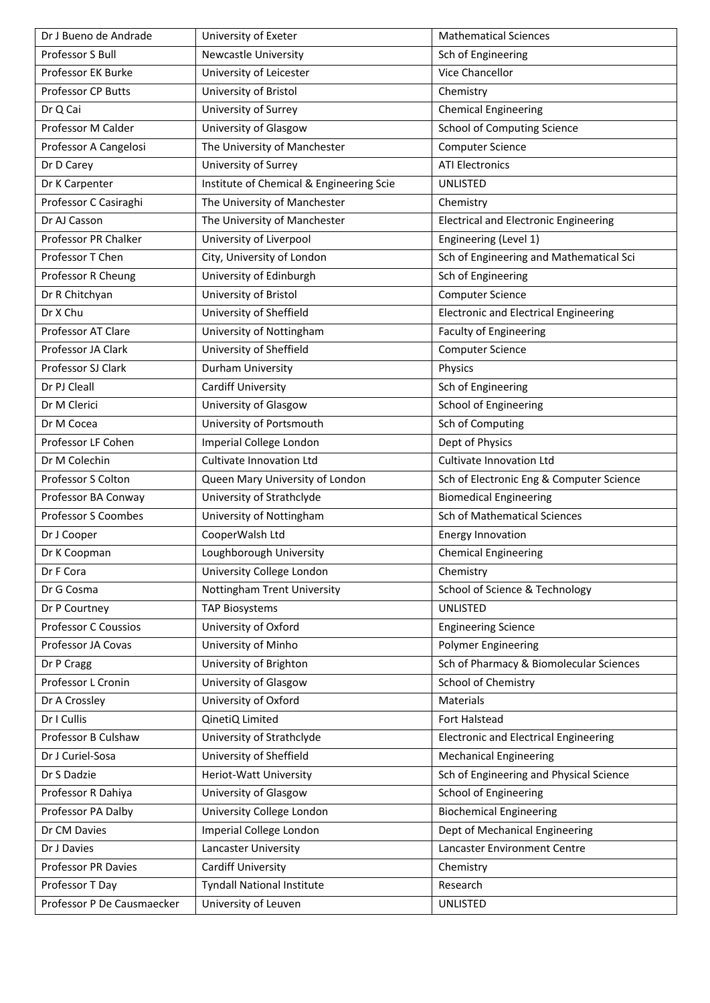| Dr J Bueno de Andrade       | University of Exeter                     | <b>Mathematical Sciences</b>                 |
|-----------------------------|------------------------------------------|----------------------------------------------|
| Professor S Bull            | <b>Newcastle University</b>              | Sch of Engineering                           |
| Professor EK Burke          | University of Leicester                  | <b>Vice Chancellor</b>                       |
| Professor CP Butts          | University of Bristol                    | Chemistry                                    |
| Dr Q Cai                    | University of Surrey                     | <b>Chemical Engineering</b>                  |
| Professor M Calder          | University of Glasgow                    | <b>School of Computing Science</b>           |
| Professor A Cangelosi       | The University of Manchester             | <b>Computer Science</b>                      |
| Dr D Carey                  | University of Surrey                     | <b>ATI Electronics</b>                       |
| Dr K Carpenter              | Institute of Chemical & Engineering Scie | <b>UNLISTED</b>                              |
| Professor C Casiraghi       | The University of Manchester             | Chemistry                                    |
| Dr AJ Casson                | The University of Manchester             | <b>Electrical and Electronic Engineering</b> |
| Professor PR Chalker        | University of Liverpool                  | Engineering (Level 1)                        |
| Professor T Chen            | City, University of London               | Sch of Engineering and Mathematical Sci      |
| Professor R Cheung          | University of Edinburgh                  | Sch of Engineering                           |
| Dr R Chitchyan              | University of Bristol                    | <b>Computer Science</b>                      |
| Dr X Chu                    | University of Sheffield                  | <b>Electronic and Electrical Engineering</b> |
| Professor AT Clare          | University of Nottingham                 | <b>Faculty of Engineering</b>                |
| Professor JA Clark          | University of Sheffield                  | <b>Computer Science</b>                      |
| Professor SJ Clark          | Durham University                        | Physics                                      |
| Dr PJ Cleall                | <b>Cardiff University</b>                | Sch of Engineering                           |
| Dr M Clerici                | University of Glasgow                    | <b>School of Engineering</b>                 |
| Dr M Cocea                  | University of Portsmouth                 | Sch of Computing                             |
| Professor LF Cohen          | Imperial College London                  | Dept of Physics                              |
| Dr M Colechin               | Cultivate Innovation Ltd                 | <b>Cultivate Innovation Ltd</b>              |
| Professor S Colton          | Queen Mary University of London          | Sch of Electronic Eng & Computer Science     |
| Professor BA Conway         | University of Strathclyde                | <b>Biomedical Engineering</b>                |
| <b>Professor S Coombes</b>  | University of Nottingham                 | <b>Sch of Mathematical Sciences</b>          |
| Dr J Cooper                 | CooperWalsh Ltd                          | <b>Energy Innovation</b>                     |
| Dr K Coopman                | Loughborough University                  | <b>Chemical Engineering</b>                  |
| Dr F Cora                   | University College London                | Chemistry                                    |
| Dr G Cosma                  | Nottingham Trent University              | School of Science & Technology               |
| Dr P Courtney               | <b>TAP Biosystems</b>                    | <b>UNLISTED</b>                              |
| <b>Professor C Coussios</b> | University of Oxford                     | <b>Engineering Science</b>                   |
| Professor JA Covas          | University of Minho                      | <b>Polymer Engineering</b>                   |
| Dr P Cragg                  | University of Brighton                   | Sch of Pharmacy & Biomolecular Sciences      |
| Professor L Cronin          | University of Glasgow                    | School of Chemistry                          |
| Dr A Crossley               | University of Oxford                     | Materials                                    |
| Dr I Cullis                 | QinetiQ Limited                          | Fort Halstead                                |
| Professor B Culshaw         | University of Strathclyde                | <b>Electronic and Electrical Engineering</b> |
| Dr J Curiel-Sosa            | University of Sheffield                  | <b>Mechanical Engineering</b>                |
| Dr S Dadzie                 | Heriot-Watt University                   | Sch of Engineering and Physical Science      |
| Professor R Dahiya          | University of Glasgow                    | <b>School of Engineering</b>                 |
| Professor PA Dalby          | University College London                | <b>Biochemical Engineering</b>               |
| Dr CM Davies                | Imperial College London                  | Dept of Mechanical Engineering               |
| Dr J Davies                 | Lancaster University                     | Lancaster Environment Centre                 |
| Professor PR Davies         | Cardiff University                       | Chemistry                                    |
| Professor T Day             | <b>Tyndall National Institute</b>        | Research                                     |
| Professor P De Causmaecker  | University of Leuven                     | <b>UNLISTED</b>                              |
|                             |                                          |                                              |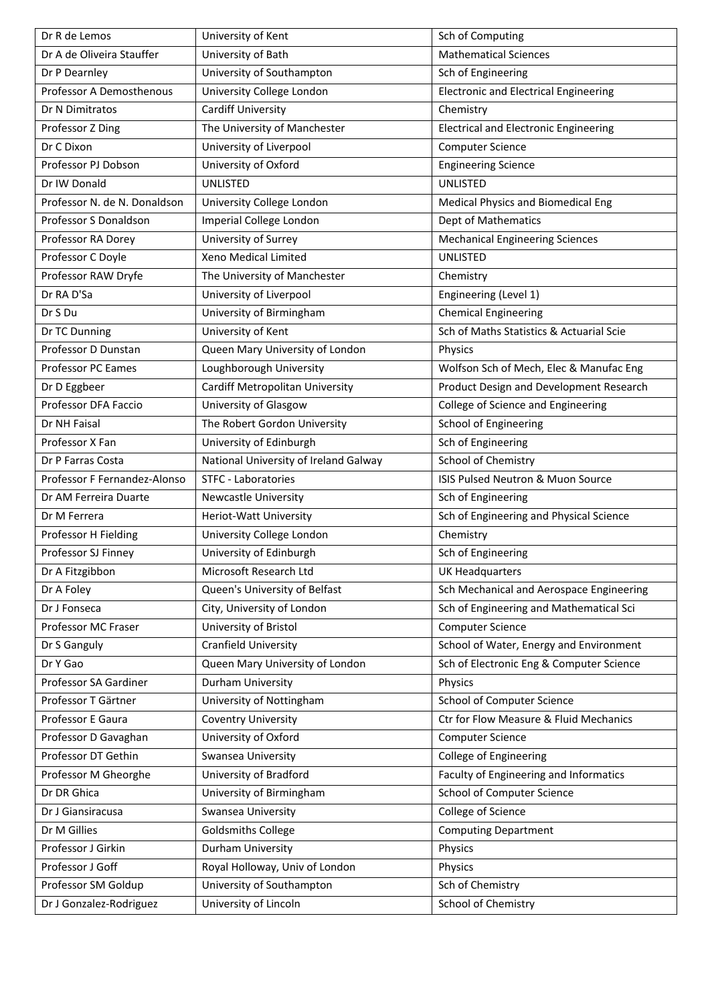| Dr R de Lemos                | University of Kent                    | Sch of Computing                             |
|------------------------------|---------------------------------------|----------------------------------------------|
| Dr A de Oliveira Stauffer    | University of Bath                    | <b>Mathematical Sciences</b>                 |
| Dr P Dearnley                | University of Southampton             | Sch of Engineering                           |
| Professor A Demosthenous     | University College London             | <b>Electronic and Electrical Engineering</b> |
| Dr N Dimitratos              | <b>Cardiff University</b>             | Chemistry                                    |
| Professor Z Ding             | The University of Manchester          | <b>Electrical and Electronic Engineering</b> |
| Dr C Dixon                   | University of Liverpool               | <b>Computer Science</b>                      |
| Professor PJ Dobson          | University of Oxford                  | <b>Engineering Science</b>                   |
| Dr IW Donald                 | UNLISTED                              | <b>UNLISTED</b>                              |
| Professor N. de N. Donaldson | University College London             | Medical Physics and Biomedical Eng           |
| Professor S Donaldson        | Imperial College London               | Dept of Mathematics                          |
| Professor RA Dorey           | University of Surrey                  | <b>Mechanical Engineering Sciences</b>       |
| Professor C Doyle            | Xeno Medical Limited                  | <b>UNLISTED</b>                              |
| Professor RAW Dryfe          | The University of Manchester          | Chemistry                                    |
| Dr RA D'Sa                   | University of Liverpool               | Engineering (Level 1)                        |
| Dr S Du                      | University of Birmingham              | <b>Chemical Engineering</b>                  |
| Dr TC Dunning                | University of Kent                    | Sch of Maths Statistics & Actuarial Scie     |
| Professor D Dunstan          | Queen Mary University of London       | Physics                                      |
| <b>Professor PC Eames</b>    | Loughborough University               | Wolfson Sch of Mech, Elec & Manufac Eng      |
| Dr D Eggbeer                 | Cardiff Metropolitan University       | Product Design and Development Research      |
| Professor DFA Faccio         | University of Glasgow                 | College of Science and Engineering           |
| Dr NH Faisal                 | The Robert Gordon University          | School of Engineering                        |
| Professor X Fan              | University of Edinburgh               | Sch of Engineering                           |
| Dr P Farras Costa            | National University of Ireland Galway | School of Chemistry                          |
| Professor F Fernandez-Alonso | <b>STFC - Laboratories</b>            | ISIS Pulsed Neutron & Muon Source            |
| Dr AM Ferreira Duarte        | <b>Newcastle University</b>           | Sch of Engineering                           |
| Dr M Ferrera                 | <b>Heriot-Watt University</b>         | Sch of Engineering and Physical Science      |
| Professor H Fielding         | University College London             | Chemistry                                    |
| Professor SJ Finney          | University of Edinburgh               | Sch of Engineering                           |
| Dr A Fitzgibbon              | Microsoft Research Ltd                | <b>UK Headquarters</b>                       |
| Dr A Foley                   | Queen's University of Belfast         | Sch Mechanical and Aerospace Engineering     |
| Dr J Fonseca                 | City, University of London            | Sch of Engineering and Mathematical Sci      |
| Professor MC Fraser          | University of Bristol                 | <b>Computer Science</b>                      |
| Dr S Ganguly                 | Cranfield University                  | School of Water, Energy and Environment      |
| Dr Y Gao                     | Queen Mary University of London       | Sch of Electronic Eng & Computer Science     |
| Professor SA Gardiner        | Durham University                     | Physics                                      |
| Professor T Gärtner          | University of Nottingham              | School of Computer Science                   |
| Professor E Gaura            | <b>Coventry University</b>            | Ctr for Flow Measure & Fluid Mechanics       |
| Professor D Gavaghan         | University of Oxford                  | <b>Computer Science</b>                      |
| Professor DT Gethin          | Swansea University                    | College of Engineering                       |
| Professor M Gheorghe         | University of Bradford                | Faculty of Engineering and Informatics       |
| Dr DR Ghica                  | University of Birmingham              | School of Computer Science                   |
| Dr J Giansiracusa            | Swansea University                    | College of Science                           |
| Dr M Gillies                 | <b>Goldsmiths College</b>             | <b>Computing Department</b>                  |
| Professor J Girkin           | Durham University                     | Physics                                      |
| Professor J Goff             | Royal Holloway, Univ of London        | Physics                                      |
| Professor SM Goldup          | University of Southampton             | Sch of Chemistry                             |
| Dr J Gonzalez-Rodriguez      | University of Lincoln                 | School of Chemistry                          |
|                              |                                       |                                              |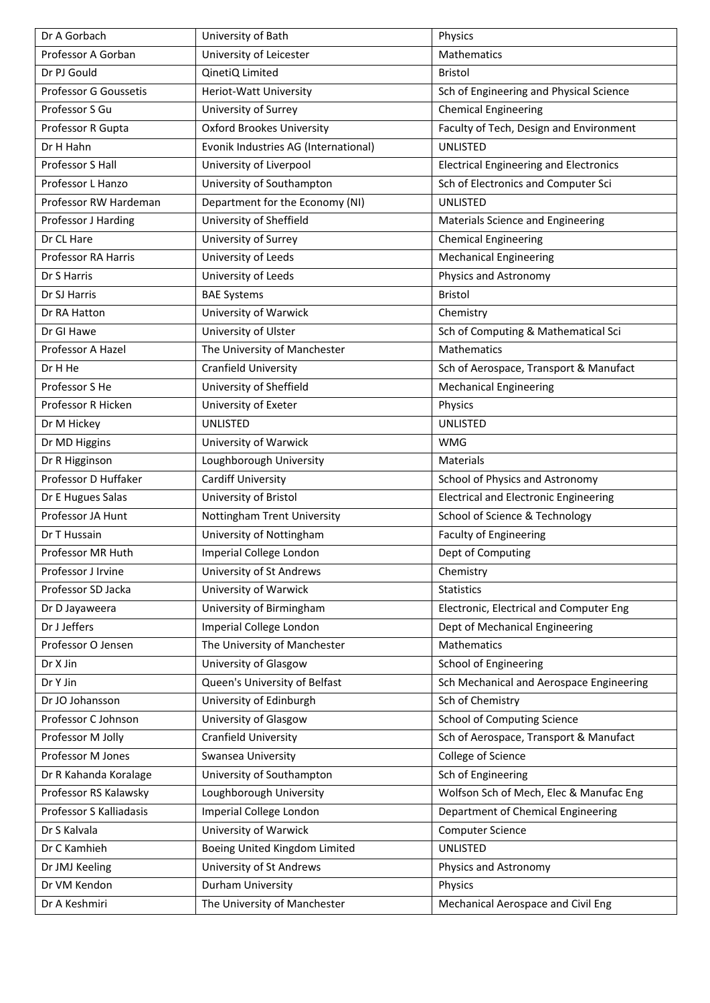| Dr A Gorbach               | University of Bath                   | Physics                                       |
|----------------------------|--------------------------------------|-----------------------------------------------|
| Professor A Gorban         | University of Leicester              | Mathematics                                   |
| Dr PJ Gould                | QinetiQ Limited                      | <b>Bristol</b>                                |
| Professor G Goussetis      | Heriot-Watt University               | Sch of Engineering and Physical Science       |
| Professor S Gu             | University of Surrey                 | <b>Chemical Engineering</b>                   |
| Professor R Gupta          | <b>Oxford Brookes University</b>     | Faculty of Tech, Design and Environment       |
| Dr H Hahn                  | Evonik Industries AG (International) | <b>UNLISTED</b>                               |
| Professor S Hall           | University of Liverpool              | <b>Electrical Engineering and Electronics</b> |
| Professor L Hanzo          | University of Southampton            | Sch of Electronics and Computer Sci           |
| Professor RW Hardeman      | Department for the Economy (NI)      | <b>UNLISTED</b>                               |
| Professor J Harding        | University of Sheffield              | Materials Science and Engineering             |
| Dr CL Hare                 | University of Surrey                 | <b>Chemical Engineering</b>                   |
| <b>Professor RA Harris</b> | University of Leeds                  | <b>Mechanical Engineering</b>                 |
| Dr S Harris                | University of Leeds                  | Physics and Astronomy                         |
| Dr SJ Harris               | <b>BAE Systems</b>                   | <b>Bristol</b>                                |
| Dr RA Hatton               | University of Warwick                | Chemistry                                     |
| Dr GI Hawe                 | University of Ulster                 | Sch of Computing & Mathematical Sci           |
| Professor A Hazel          | The University of Manchester         | <b>Mathematics</b>                            |
| Dr H He                    | Cranfield University                 | Sch of Aerospace, Transport & Manufact        |
| Professor S He             | University of Sheffield              | <b>Mechanical Engineering</b>                 |
| Professor R Hicken         | University of Exeter                 | Physics                                       |
| Dr M Hickey                | <b>UNLISTED</b>                      | UNLISTED                                      |
| Dr MD Higgins              | University of Warwick                | <b>WMG</b>                                    |
| Dr R Higginson             | Loughborough University              | Materials                                     |
| Professor D Huffaker       | Cardiff University                   | School of Physics and Astronomy               |
| Dr E Hugues Salas          | University of Bristol                | <b>Electrical and Electronic Engineering</b>  |
| Professor JA Hunt          | Nottingham Trent University          | School of Science & Technology                |
| Dr T Hussain               | University of Nottingham             | <b>Faculty of Engineering</b>                 |
| Professor MR Huth          | Imperial College London              | Dept of Computing                             |
| Professor J Irvine         | University of St Andrews             | Chemistry                                     |
| Professor SD Jacka         | University of Warwick                | <b>Statistics</b>                             |
| Dr D Jayaweera             | University of Birmingham             | Electronic, Electrical and Computer Eng       |
| Dr J Jeffers               | Imperial College London              | Dept of Mechanical Engineering                |
| Professor O Jensen         | The University of Manchester         | Mathematics                                   |
| Dr X Jin                   | University of Glasgow                | <b>School of Engineering</b>                  |
| Dr Y Jin                   | Queen's University of Belfast        | Sch Mechanical and Aerospace Engineering      |
| Dr JO Johansson            | University of Edinburgh              | Sch of Chemistry                              |
| Professor C Johnson        | University of Glasgow                | <b>School of Computing Science</b>            |
| Professor M Jolly          | Cranfield University                 | Sch of Aerospace, Transport & Manufact        |
| Professor M Jones          | Swansea University                   | College of Science                            |
| Dr R Kahanda Koralage      | University of Southampton            | Sch of Engineering                            |
| Professor RS Kalawsky      | Loughborough University              | Wolfson Sch of Mech, Elec & Manufac Eng       |
| Professor S Kalliadasis    | Imperial College London              | Department of Chemical Engineering            |
| Dr S Kalvala               | University of Warwick                | <b>Computer Science</b>                       |
| Dr C Kamhieh               | Boeing United Kingdom Limited        | UNLISTED                                      |
| Dr JMJ Keeling             | University of St Andrews             | Physics and Astronomy                         |
| Dr VM Kendon               | Durham University                    | Physics                                       |
| Dr A Keshmiri              | The University of Manchester         | Mechanical Aerospace and Civil Eng            |
|                            |                                      |                                               |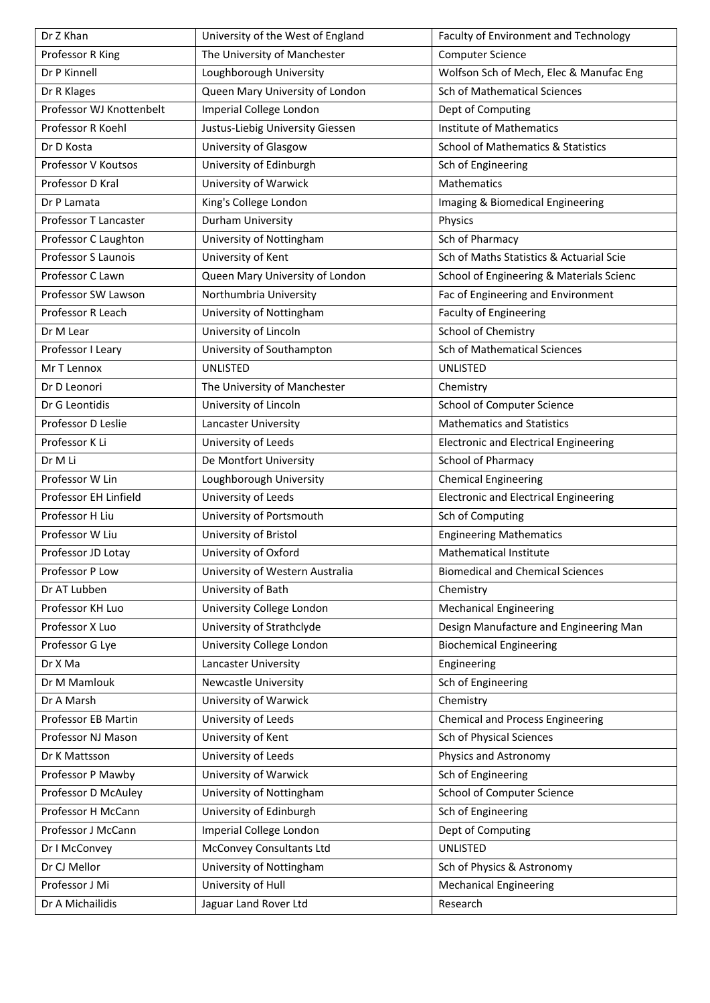| Dr Z Khan                | University of the West of England | Faculty of Environment and Technology         |
|--------------------------|-----------------------------------|-----------------------------------------------|
| Professor R King         | The University of Manchester      | <b>Computer Science</b>                       |
| Dr P Kinnell             | Loughborough University           | Wolfson Sch of Mech, Elec & Manufac Eng       |
| Dr R Klages              | Queen Mary University of London   | <b>Sch of Mathematical Sciences</b>           |
| Professor WJ Knottenbelt | Imperial College London           | Dept of Computing                             |
| Professor R Koehl        | Justus-Liebig University Giessen  | <b>Institute of Mathematics</b>               |
| Dr D Kosta               | University of Glasgow             | <b>School of Mathematics &amp; Statistics</b> |
| Professor V Koutsos      | University of Edinburgh           | Sch of Engineering                            |
| Professor D Kral         | University of Warwick             | Mathematics                                   |
| Dr P Lamata              | King's College London             | Imaging & Biomedical Engineering              |
| Professor T Lancaster    | Durham University                 | Physics                                       |
| Professor C Laughton     | University of Nottingham          | Sch of Pharmacy                               |
| Professor S Launois      | University of Kent                | Sch of Maths Statistics & Actuarial Scie      |
| Professor C Lawn         | Queen Mary University of London   | School of Engineering & Materials Scienc      |
| Professor SW Lawson      | Northumbria University            | Fac of Engineering and Environment            |
| Professor R Leach        | University of Nottingham          | <b>Faculty of Engineering</b>                 |
| Dr M Lear                | University of Lincoln             | School of Chemistry                           |
| Professor I Leary        | University of Southampton         | <b>Sch of Mathematical Sciences</b>           |
| Mr T Lennox              | UNLISTED                          | UNLISTED                                      |
| Dr D Leonori             | The University of Manchester      | Chemistry                                     |
| Dr G Leontidis           | University of Lincoln             | School of Computer Science                    |
| Professor D Leslie       | Lancaster University              | <b>Mathematics and Statistics</b>             |
| Professor K Li           | University of Leeds               | <b>Electronic and Electrical Engineering</b>  |
| Dr M Li                  | De Montfort University            | <b>School of Pharmacy</b>                     |
| Professor W Lin          | Loughborough University           | <b>Chemical Engineering</b>                   |
| Professor EH Linfield    | University of Leeds               | <b>Electronic and Electrical Engineering</b>  |
| Professor H Liu          | University of Portsmouth          | Sch of Computing                              |
| Professor W Liu          | University of Bristol             | <b>Engineering Mathematics</b>                |
| Professor JD Lotay       | University of Oxford              | <b>Mathematical Institute</b>                 |
| Professor P Low          | University of Western Australia   | <b>Biomedical and Chemical Sciences</b>       |
| Dr AT Lubben             | University of Bath                | Chemistry                                     |
| Professor KH Luo         | University College London         | <b>Mechanical Engineering</b>                 |
| Professor X Luo          | University of Strathclyde         | Design Manufacture and Engineering Man        |
| Professor G Lye          | University College London         | <b>Biochemical Engineering</b>                |
| Dr X Ma                  | Lancaster University              | Engineering                                   |
| Dr M Mamlouk             | <b>Newcastle University</b>       | Sch of Engineering                            |
| Dr A Marsh               | University of Warwick             | Chemistry                                     |
| Professor EB Martin      | University of Leeds               | <b>Chemical and Process Engineering</b>       |
| Professor NJ Mason       | University of Kent                | Sch of Physical Sciences                      |
| Dr K Mattsson            | University of Leeds               | Physics and Astronomy                         |
| Professor P Mawby        | University of Warwick             | Sch of Engineering                            |
| Professor D McAuley      | University of Nottingham          | School of Computer Science                    |
| Professor H McCann       | University of Edinburgh           | Sch of Engineering                            |
| Professor J McCann       | Imperial College London           | Dept of Computing                             |
| Dr I McConvey            | <b>McConvey Consultants Ltd</b>   | UNLISTED                                      |
| Dr CJ Mellor             | University of Nottingham          | Sch of Physics & Astronomy                    |
| Professor J Mi           | University of Hull                | <b>Mechanical Engineering</b>                 |
| Dr A Michailidis         | Jaguar Land Rover Ltd             | Research                                      |
|                          |                                   |                                               |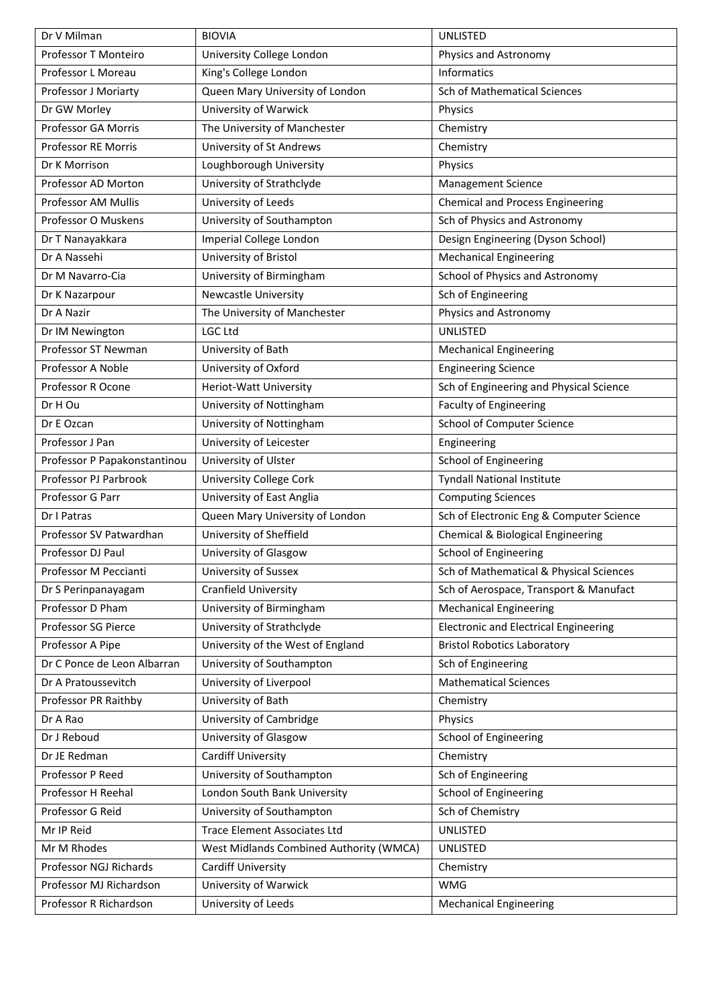| Dr V Milman                  | <b>BIOVIA</b>                           | <b>UNLISTED</b>                              |
|------------------------------|-----------------------------------------|----------------------------------------------|
| Professor T Monteiro         | University College London               | Physics and Astronomy                        |
| Professor L Moreau           | King's College London                   | Informatics                                  |
| Professor J Moriarty         | Queen Mary University of London         | <b>Sch of Mathematical Sciences</b>          |
| Dr GW Morley                 | University of Warwick                   | Physics                                      |
| Professor GA Morris          | The University of Manchester            | Chemistry                                    |
| Professor RE Morris          | University of St Andrews                | Chemistry                                    |
| Dr K Morrison                | Loughborough University                 | Physics                                      |
| Professor AD Morton          | University of Strathclyde               | Management Science                           |
| Professor AM Mullis          | University of Leeds                     | <b>Chemical and Process Engineering</b>      |
| Professor O Muskens          | University of Southampton               | Sch of Physics and Astronomy                 |
| Dr T Nanayakkara             | Imperial College London                 | Design Engineering (Dyson School)            |
| Dr A Nassehi                 | University of Bristol                   | <b>Mechanical Engineering</b>                |
| Dr M Navarro-Cia             | University of Birmingham                | School of Physics and Astronomy              |
| Dr K Nazarpour               | <b>Newcastle University</b>             | Sch of Engineering                           |
| Dr A Nazir                   | The University of Manchester            | Physics and Astronomy                        |
| Dr IM Newington              | <b>LGC Ltd</b>                          | <b>UNLISTED</b>                              |
| Professor ST Newman          | University of Bath                      | <b>Mechanical Engineering</b>                |
| Professor A Noble            | University of Oxford                    | <b>Engineering Science</b>                   |
| Professor R Ocone            | Heriot-Watt University                  | Sch of Engineering and Physical Science      |
| Dr H Ou                      | University of Nottingham                | <b>Faculty of Engineering</b>                |
| Dr E Ozcan                   | University of Nottingham                | School of Computer Science                   |
| Professor J Pan              | University of Leicester                 | Engineering                                  |
| Professor P Papakonstantinou | University of Ulster                    | <b>School of Engineering</b>                 |
| Professor PJ Parbrook        | University College Cork                 | <b>Tyndall National Institute</b>            |
| Professor G Parr             | University of East Anglia               | <b>Computing Sciences</b>                    |
| Dr I Patras                  | Queen Mary University of London         | Sch of Electronic Eng & Computer Science     |
| Professor SV Patwardhan      | University of Sheffield                 | Chemical & Biological Engineering            |
| Professor DJ Paul            | University of Glasgow                   | <b>School of Engineering</b>                 |
| Professor M Peccianti        | University of Sussex                    | Sch of Mathematical & Physical Sciences      |
| Dr S Perinpanayagam          | <b>Cranfield University</b>             | Sch of Aerospace, Transport & Manufact       |
| Professor D Pham             | University of Birmingham                | <b>Mechanical Engineering</b>                |
| Professor SG Pierce          | University of Strathclyde               | <b>Electronic and Electrical Engineering</b> |
| Professor A Pipe             | University of the West of England       | <b>Bristol Robotics Laboratory</b>           |
| Dr C Ponce de Leon Albarran  | University of Southampton               | Sch of Engineering                           |
| Dr A Pratoussevitch          | University of Liverpool                 | <b>Mathematical Sciences</b>                 |
| Professor PR Raithby         | University of Bath                      | Chemistry                                    |
| Dr A Rao                     | University of Cambridge                 | Physics                                      |
| Dr J Reboud                  | University of Glasgow                   | <b>School of Engineering</b>                 |
| Dr JE Redman                 | Cardiff University                      | Chemistry                                    |
| Professor P Reed             | University of Southampton               | Sch of Engineering                           |
| Professor H Reehal           | London South Bank University            | School of Engineering                        |
| Professor G Reid             | University of Southampton               | Sch of Chemistry                             |
| Mr IP Reid                   | <b>Trace Element Associates Ltd</b>     | UNLISTED                                     |
| Mr M Rhodes                  | West Midlands Combined Authority (WMCA) | <b>UNLISTED</b>                              |
| Professor NGJ Richards       | Cardiff University                      | Chemistry                                    |
| Professor MJ Richardson      | University of Warwick                   | <b>WMG</b>                                   |
| Professor R Richardson       | University of Leeds                     | <b>Mechanical Engineering</b>                |
|                              |                                         |                                              |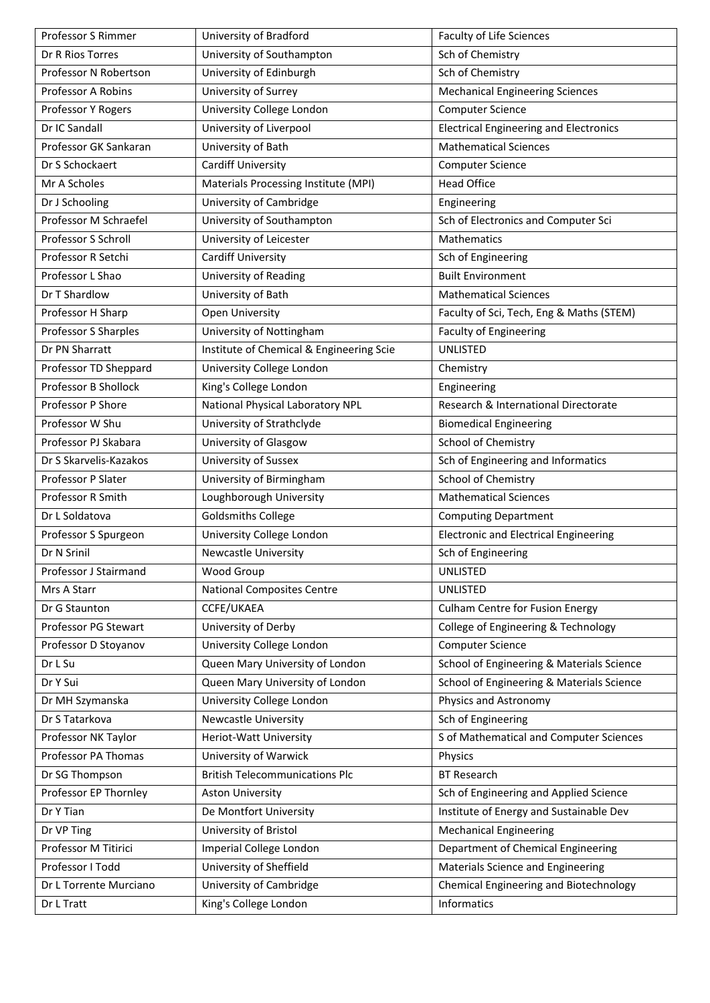| Professor S Rimmer     | University of Bradford                   | Faculty of Life Sciences                      |
|------------------------|------------------------------------------|-----------------------------------------------|
| Dr R Rios Torres       | University of Southampton                | Sch of Chemistry                              |
| Professor N Robertson  | University of Edinburgh                  | Sch of Chemistry                              |
| Professor A Robins     | University of Surrey                     | <b>Mechanical Engineering Sciences</b>        |
| Professor Y Rogers     | University College London                | <b>Computer Science</b>                       |
| Dr IC Sandall          | University of Liverpool                  | <b>Electrical Engineering and Electronics</b> |
| Professor GK Sankaran  | University of Bath                       | <b>Mathematical Sciences</b>                  |
| Dr S Schockaert        | Cardiff University                       | <b>Computer Science</b>                       |
| Mr A Scholes           | Materials Processing Institute (MPI)     | <b>Head Office</b>                            |
| Dr J Schooling         | University of Cambridge                  | Engineering                                   |
| Professor M Schraefel  | University of Southampton                | Sch of Electronics and Computer Sci           |
| Professor S Schroll    | University of Leicester                  | Mathematics                                   |
| Professor R Setchi     | Cardiff University                       | Sch of Engineering                            |
| Professor L Shao       | University of Reading                    | <b>Built Environment</b>                      |
| Dr T Shardlow          | University of Bath                       | <b>Mathematical Sciences</b>                  |
| Professor H Sharp      | Open University                          | Faculty of Sci, Tech, Eng & Maths (STEM)      |
| Professor S Sharples   | University of Nottingham                 | <b>Faculty of Engineering</b>                 |
| Dr PN Sharratt         | Institute of Chemical & Engineering Scie | <b>UNLISTED</b>                               |
| Professor TD Sheppard  | University College London                | Chemistry                                     |
| Professor B Shollock   | King's College London                    | Engineering                                   |
| Professor P Shore      | National Physical Laboratory NPL         | Research & International Directorate          |
| Professor W Shu        | University of Strathclyde                | <b>Biomedical Engineering</b>                 |
| Professor PJ Skabara   | University of Glasgow                    | School of Chemistry                           |
| Dr S Skarvelis-Kazakos | University of Sussex                     | Sch of Engineering and Informatics            |
| Professor P Slater     | University of Birmingham                 | School of Chemistry                           |
| Professor R Smith      | Loughborough University                  | <b>Mathematical Sciences</b>                  |
| Dr L Soldatova         | <b>Goldsmiths College</b>                | <b>Computing Department</b>                   |
| Professor S Spurgeon   | University College London                | <b>Electronic and Electrical Engineering</b>  |
| Dr N Srinil            | <b>Newcastle University</b>              | Sch of Engineering                            |
| Professor J Stairmand  | Wood Group                               | <b>UNLISTED</b>                               |
| Mrs A Starr            | <b>National Composites Centre</b>        | UNLISTED                                      |
| Dr G Staunton          | CCFE/UKAEA                               | <b>Culham Centre for Fusion Energy</b>        |
| Professor PG Stewart   | University of Derby                      | College of Engineering & Technology           |
| Professor D Stoyanov   | University College London                | <b>Computer Science</b>                       |
| Dr L Su                | Queen Mary University of London          | School of Engineering & Materials Science     |
| Dr Y Sui               | Queen Mary University of London          | School of Engineering & Materials Science     |
| Dr MH Szymanska        | University College London                | Physics and Astronomy                         |
| Dr S Tatarkova         | <b>Newcastle University</b>              | Sch of Engineering                            |
| Professor NK Taylor    | Heriot-Watt University                   | S of Mathematical and Computer Sciences       |
| Professor PA Thomas    | University of Warwick                    | Physics                                       |
| Dr SG Thompson         | <b>British Telecommunications Plc</b>    | <b>BT Research</b>                            |
| Professor EP Thornley  | <b>Aston University</b>                  | Sch of Engineering and Applied Science        |
| Dr Y Tian              | De Montfort University                   | Institute of Energy and Sustainable Dev       |
| Dr VP Ting             | University of Bristol                    | <b>Mechanical Engineering</b>                 |
| Professor M Titirici   | Imperial College London                  | Department of Chemical Engineering            |
| Professor I Todd       | University of Sheffield                  | Materials Science and Engineering             |
| Dr L Torrente Murciano | University of Cambridge                  | Chemical Engineering and Biotechnology        |
| Dr L Tratt             | King's College London                    | Informatics                                   |
|                        |                                          |                                               |